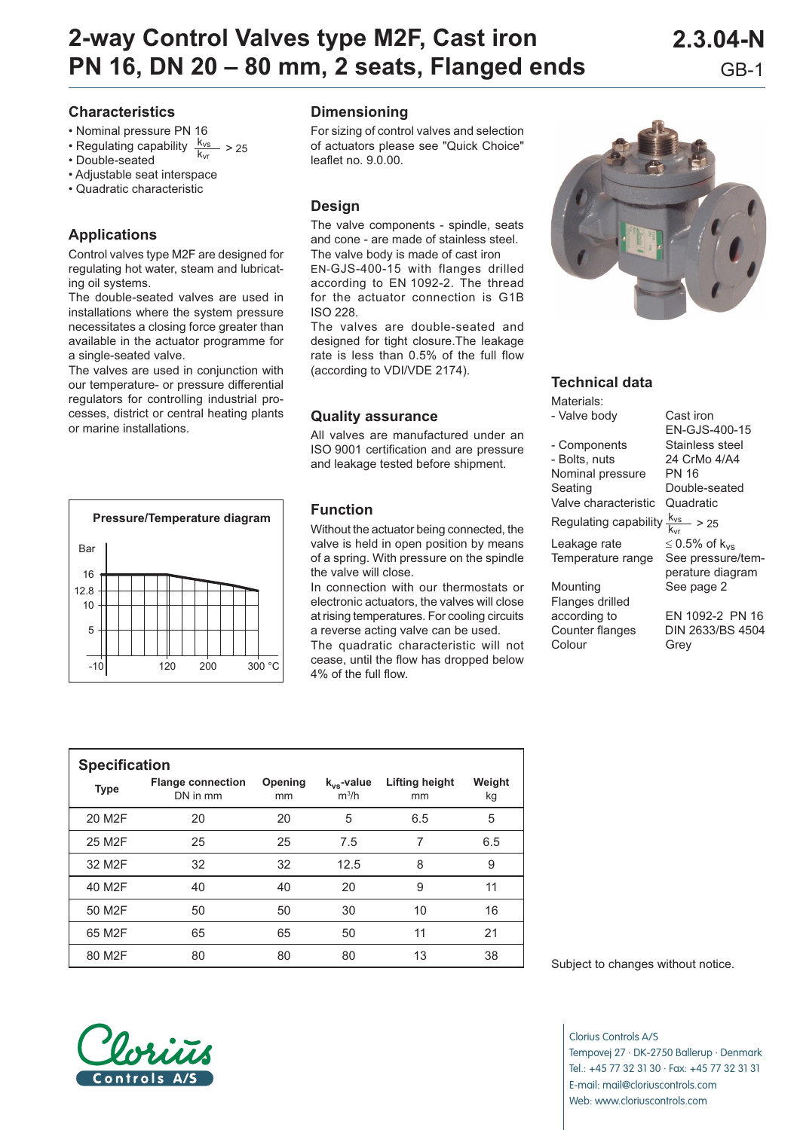# **2-way Control Valves type M2F, Cast iron 2.3.04-N PN 16, DN 20 – 80 mm, 2 seats, Flanged ends** GB-1

## **Characteristics**

- Nominal pressure PN 16
- Regulating capability  $\frac{k_{vs}}{k_{vr}} > 25$ <br>• Double-seated
- 
- Adjustable seat interspace
- Quadratic characteristic

# **Applications**

Control valves type M2F are designed for regulating hot water, steam and lubricating oil systems.

The double-seated valves are used in installations where the system pressure necessitates a closing force greater than available in the actuator programme for a single-seated valve.

The valves are used in conjunction with our temperature- or pressure differential regulators for controlling industrial processes, district or central heating plants or marine installations.



#### **Dimensioning**

For sizing of control valves and selection of actuators please see "Quick Choice" leaflet no. 9.0.00.

#### **Design**

The valve components - spindle, seats and cone - are made of stainless steel. The valve body is made of cast iron EN-GJS-400-15 with flanges drilled according to EN 1092-2. The thread for the actuator connection is G1B ISO 228.

The valves are double-seated and designed for tight closure. The leakage rate is less than 0.5% of the full flow (according to VDI/VDE 2174).

#### **Quality assurance**

All valves are manufactured under an ISO 9001 certification and are pressure and leakage tested before shipment.

#### **Function**

Without the actuator being connected, the valve is held in open position by means of a spring. With pressure on the spindle the valve will close.

In connection with our thermostats or electronic actuators, the valves will close at rising temperatures. For cooling circuits a reverse acting valve can be used. The quadratic characteristic will not cease, until the flow has dropped below 4% of the full flow.



#### **Technical data**

Materials: - Valve body Cast iron

- Components Stainless steel - Bolts, nuts 24 CrMo 4/A4 Nominal pressure PN 16 Seating Double-seated

Valve characteristic Quadratic

Regulating capability  $\frac{k_{vs}}{k_{vr}} > 25$ 

Temperature range

Mounting See page 2 Flanges drilled according to EN 1092-2 PN 16 Colour Grey

EN-GJS-400-15 Leakage rate  $\leq 0.5\%$  of k<sub>vs</sub><br>Temperature range See pressure/temperature diagram

Counter flanges DIN 2633/BS 4504

| <b>Specification</b> |                                      |               |                            |                             |              |  |  |  |  |  |
|----------------------|--------------------------------------|---------------|----------------------------|-----------------------------|--------------|--|--|--|--|--|
| <b>Type</b>          | <b>Flange connection</b><br>DN in mm | Opening<br>mm | $k_{vs}$ -value<br>$m^3/h$ | <b>Lifting height</b><br>mm | Weight<br>kg |  |  |  |  |  |
| 20 M <sub>2</sub> F  | 20                                   | 20            | 5                          | 6.5                         | 5            |  |  |  |  |  |
| 25 M <sub>2</sub> F  | 25                                   | 25            | 7.5                        | 7                           | 6.5          |  |  |  |  |  |
| 32 M <sub>2</sub> F  | 32                                   | 32            | 12.5                       | 8                           | 9            |  |  |  |  |  |
| 40 M <sub>2</sub> F  | 40                                   | 40            | 20                         | 9                           | 11           |  |  |  |  |  |
| 50 M <sub>2</sub> F  | 50                                   | 50            | 30                         | 10                          | 16           |  |  |  |  |  |
| 65 M2F               | 65                                   | 65            | 50                         | 11                          | 21           |  |  |  |  |  |
| 80 M2F               | 80                                   | 80            | 80                         | 13                          | 38           |  |  |  |  |  |

Subject to changes without notice.

Clorius Controls A/S Tempovej 27 · DK-2750 Ballerup · Denmark Tel.: +45 77 32 31 30 · Fax: +45 77 32 31 31 E-mail: mail@cloriuscontrols.com Web: www.cloriuscontrols.com